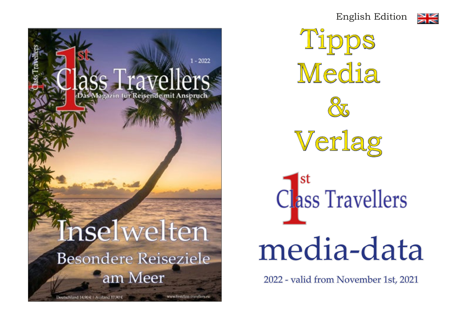English Edition

Tipps

Media

 $\frac{Q}{Q}$ 

Verlag

media-data

class Travellers

2022 - valid from November 1st, 2021



 $2022$ zin für Reisende mit Anspruch **Inselwelten Besondere Reiseziele** am Meer www.firstclass-travellers.eu Deutschland 14,90€ 1 Ausland 17,90€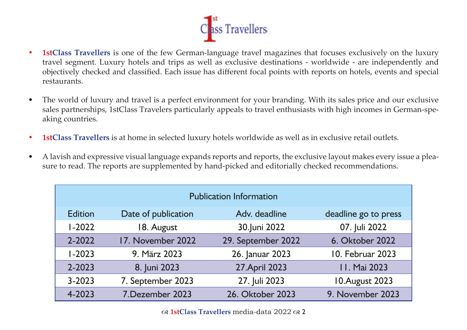

- **• 1stClass Travellers** is one of the few German-language travel magazines that focuses exclusively on the luxury travel segment. Luxury hotels and trips as well as exclusive destinations - worldwide - are independently and objectively checked and classified. Each issue has different focal points with reports on hotels, events and special restaurants.
- The world of luxury and travel is a perfect environment for your branding. With its sales price and our exclusive sales partnerships, 1stClass Travelers particularly appeals to travel enthusiasts with high incomes in German-speaking countries.
- **• 1stClass Travellers** is at home in selected luxury hotels worldwide as well as in exclusive retail outlets.
- A lavish and expressive visual language expands reports and reports, the exclusive layout makes every issue a pleasure to read. The reports are supplemented by hand-picked and editorially checked recommendations.

| <b>Publication Information</b> |                     |                    |                      |
|--------------------------------|---------------------|--------------------|----------------------|
| <b>Edition</b>                 | Date of publication | Adv. deadline      | deadline go to press |
| $1 - 2022$                     | 18. August          | 30.Juni 2022       | 07. Juli 2022        |
| 2-2022                         | 17. November 2022   | 29. September 2022 | 6. Oktober 2022      |
| $1 - 2023$                     | 9. März 2023        | 26. Januar 2023    | 10. Februar 2023     |
| 2-2023                         | 8. Juni 2023        | 27. April 2023     | 11. Mai 2023         |
| $3 - 2023$                     | 7. September 2023   | 27. Juli 2023      | 10. August 2023      |
| 4-2023                         | 7. Dezember 2023    | 26. Oktober 2023   | 9. November 2023     |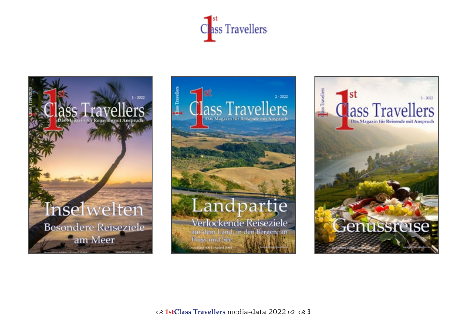





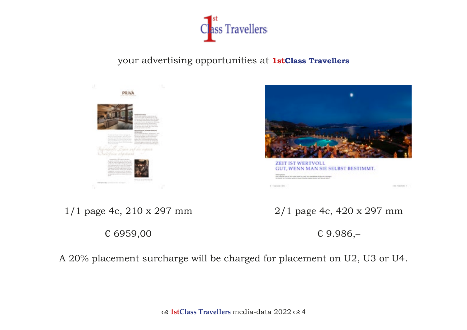

# your advertising opportunities at **1stClass Travellers**





**GUT, WENN MAN SIE SELBST BESTIMMT. SOLO AT YOUR REPORT OF A STATE** 

1/1 page 4c, 210 x 297 mm

€ 6959,00

2/1 page 4c, 420 x 297 mm

and Commercial

€ 9.986,–

A 20% placement surcharge will be charged for placement on U2, U3 or U4.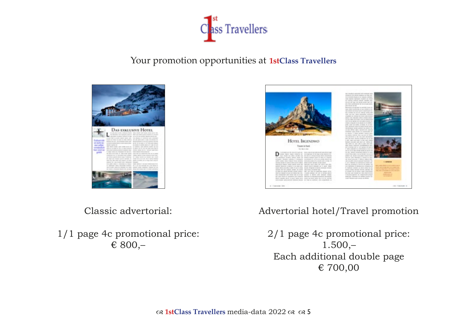

Your promotion opportunities at **1stClass Travellers**





Classic advertorial:

1/1 page 4c promotional price: € 800,–

Advertorial hotel/Travel promotion

2/1 page 4c promotional price:  $1.500,-$ Each additional double page € 700,00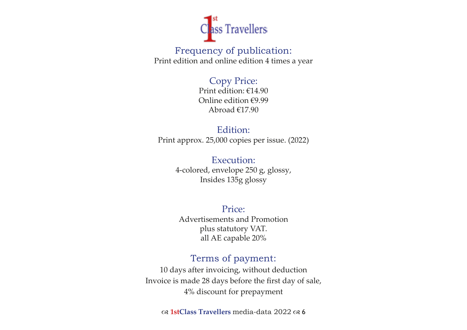

Frequency of publication: Print edition and online edition 4 times a year

# Copy Price:

Print edition: €14.90 Online edition €9.99 Abroad €17.90

# Edition: Print approx. 25,000 copies per issue. (2022)

Execution: 4-colored, envelope 250 g, glossy, Insides 135g glossy

#### Price: Advertisements and Promotion plus statutory VAT. all AE capable 20%

# Terms of payment:

10 days after invoicing, without deduction Invoice is made 28 days before the first day of sale, 4% discount for prepayment

**1stClass Travellers** media-data 2022 6